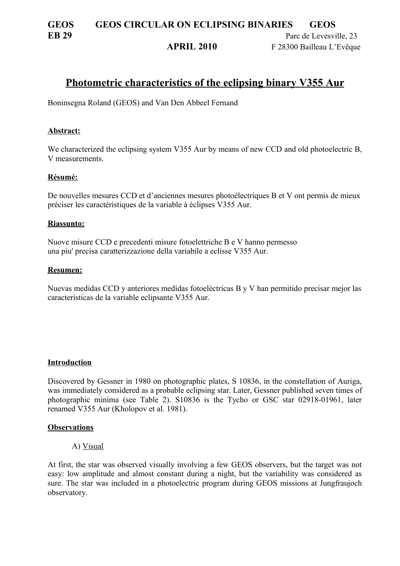# **GEOS GEOS CIRCULAR ON ECLIPSING BINARIES GEOS EB 29** Parc de Levesville, 23

**APRIL 2010** F 28300 Bailleau L'Evêque

# **Photometric characteristics of the eclipsing binary V355 Aur**

Boninsegna Roland (GEOS) and Van Den Abbeel Fernand

### **Abstract:**

We characterized the eclipsing system V355 Aur by means of new CCD and old photoelectric B, V measurements.

### **Résumé:**

De nouvelles mesures CCD et d'anciennes mesures photoélectriques B et V ont permis de mieux préciser les caractéristiques de la variable à éclipses V355 Aur.

#### **Riassunto:**

Nuove misure CCD e precedenti misure fotoelettriche B e V hanno permesso una piu' precisa caratterizzazione della variabile a eclisse V355 Aur.

### **Resumen:**

Nuevas medidas CCD y anteriores medidas fotoeléctricas B y V han permitido precisar mejor las características de la variable eclipsante V355 Aur.

#### **Introduction**

Discovered by Gessner in 1980 on photographic plates, S 10836, in the constellation of Auriga, was immediately considered as a probable eclipsing star. Later, Gessner published seven times of photographic minima (see Table 2). S10836 is the Tycho or GSC star 02918-01961, later renamed V355 Aur (Kholopov et al. 1981).

#### **Observations**

#### A) Visual

At first, the star was observed visually involving a few GEOS observers, but the target was not easy: low amplitude and almost constant during a night, but the variability was considered as sure. The star was included in a photoelectric program during GEOS missions at Jungfraujoch observatory.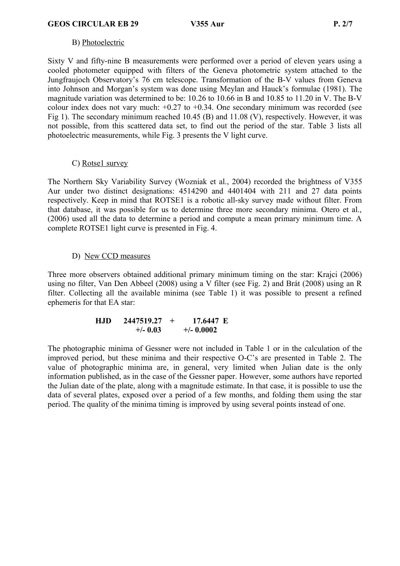# B) Photoelectric

Sixty V and fifty-nine B measurements were performed over a period of eleven years using a cooled photometer equipped with filters of the Geneva photometric system attached to the Jungfraujoch Observatory's 76 cm telescope. Transformation of the B-V values from Geneva into Johnson and Morgan's system was done using Meylan and Hauck's formulae (1981). The magnitude variation was determined to be: 10.26 to 10.66 in B and 10.85 to 11.20 in V. The B-V colour index does not vary much:  $+0.27$  to  $+0.34$ . One secondary minimum was recorded (see Fig 1). The secondary minimum reached 10.45 (B) and 11.08 (V), respectively. However, it was not possible, from this scattered data set, to find out the period of the star. Table 3 lists all photoelectric measurements, while Fig. 3 presents the V light curve.

# C) Rotse1 survey

The Northern Sky Variability Survey (Wozniak et al., 2004) recorded the brightness of V355 Aur under two distinct designations: 4514290 and 4401404 with 211 and 27 data points respectively. Keep in mind that ROTSE1 is a robotic all-sky survey made without filter. From that database, it was possible for us to determine three more secondary minima. Otero et al., (2006) used all the data to determine a period and compute a mean primary minimum time. A complete ROTSE1 light curve is presented in Fig. 4.

# D) New CCD measures

Three more observers obtained additional primary minimum timing on the star: Krajci (2006) using no filter, Van Den Abbeel (2008) using a V filter (see Fig. 2) and Brát (2008) using an R filter. Collecting all the available minima (see Table 1) it was possible to present a refined ephemeris for that EA star:

#### **HJD 2447519.27 + 17.6447 E**  $+/-$  0.03  $+/-$  0.0002

The photographic minima of Gessner were not included in Table 1 or in the calculation of the improved period, but these minima and their respective O-C's are presented in Table 2. The value of photographic minima are, in general, very limited when Julian date is the only information published, as in the case of the Gessner paper. However, some authors have reported the Julian date of the plate, along with a magnitude estimate. In that case, it is possible to use the data of several plates, exposed over a period of a few months, and folding them using the star period. The quality of the minima timing is improved by using several points instead of one.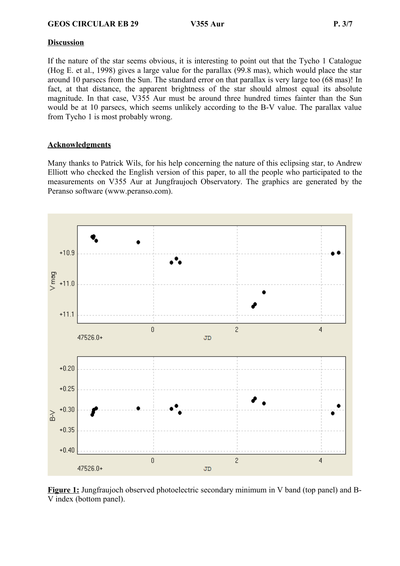# **Discussion**

If the nature of the star seems obvious, it is interesting to point out that the Tycho 1 Catalogue (Hog E. et al., 1998) gives a large value for the parallax (99.8 mas), which would place the star around 10 parsecs from the Sun. The standard error on that parallax is very large too (68 mas)! In fact, at that distance, the apparent brightness of the star should almost equal its absolute magnitude. In that case, V355 Aur must be around three hundred times fainter than the Sun would be at 10 parsecs, which seems unlikely according to the B-V value. The parallax value from Tycho 1 is most probably wrong.

# **Acknowledgments**

Many thanks to Patrick Wils, for his help concerning the nature of this eclipsing star, to Andrew Elliott who checked the English version of this paper, to all the people who participated to the measurements on V355 Aur at Jungfraujoch Observatory. The graphics are generated by the Peranso software (www.peranso.com).



**Figure 1:** Jungfraujoch observed photoelectric secondary minimum in V band (top panel) and B-V index (bottom panel).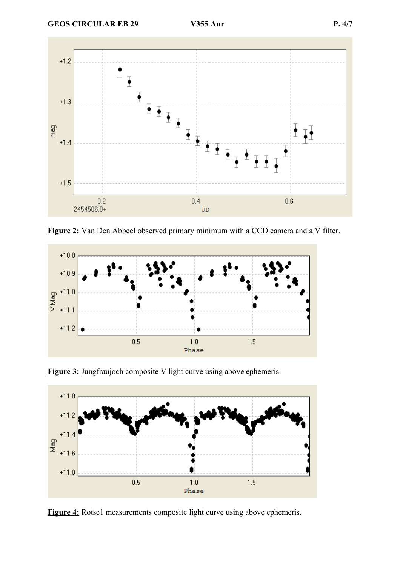

**Figure 2:** Van Den Abbeel observed primary minimum with a CCD camera and a V filter.



**Figure 3:** Jungfraujoch composite V light curve using above ephemeris.



**Figure 4:** Rotse1 measurements composite light curve using above ephemeris.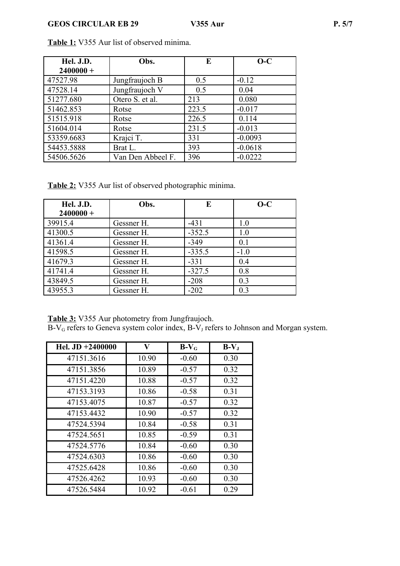| Hel. J.D.   | Obs.              | E     | $O-C$     |
|-------------|-------------------|-------|-----------|
| $2400000 +$ |                   |       |           |
| 47527.98    | Jungfraujoch B    | 0.5   | $-0.12$   |
| 47528.14    | Jungfraujoch V    | 0.5   | 0.04      |
| 51277.680   | Otero S. et al.   | 213   | 0.080     |
| 51462.853   | Rotse             | 223.5 | $-0.017$  |
| 51515.918   | Rotse             | 226.5 | 0.114     |
| 51604.014   | Rotse             | 231.5 | $-0.013$  |
| 53359.6683  | Krajci T.         | 331   | $-0.0093$ |
| 54453.5888  | Brat L.           | 393   | $-0.0618$ |
| 54506.5626  | Van Den Abbeel F. | 396   | $-0.0222$ |

**Table 1:** V355 Aur list of observed minima.

**Table 2:** V355 Aur list of observed photographic minima.

| Hel. J.D.<br>$2400000 +$ | Obs.       | E        | $O-C$  |
|--------------------------|------------|----------|--------|
| 39915.4                  | Gessner H. | $-431$   | 1.0    |
| 41300.5                  | Gessner H. | $-352.5$ | 1.0    |
| 41361.4                  | Gessner H. | $-349$   | 0.1    |
| 41598.5                  | Gessner H. | $-335.5$ | $-1.0$ |
| 41679.3                  | Gessner H. | $-331$   | 0.4    |
| 41741.4                  | Gessner H. | $-327.5$ | 0.8    |
| 43849.5                  | Gessner H. | $-208$   | 0.3    |
| 43955.3                  | Gessner H. | $-202$   | 0.3    |

**Table 3:** V355 Aur photometry from Jungfraujoch.

B-V<sub>G</sub> refers to Geneva system color index, B-V<sub>J</sub> refers to Johnson and Morgan system.

| Hel. $JD + 2400000$ | V     | $B-VG$  | $B-VJ$ |
|---------------------|-------|---------|--------|
| 47151.3616          | 10.90 | $-0.60$ | 0.30   |
| 47151.3856          | 10.89 | $-0.57$ | 0.32   |
| 47151.4220          | 10.88 | $-0.57$ | 0.32   |
| 47153.3193          | 10.86 | $-0.58$ | 0.31   |
| 47153.4075          | 10.87 | $-0.57$ | 0.32   |
| 47153.4432          | 10.90 | $-0.57$ | 0.32   |
| 47524.5394          | 10.84 | $-0.58$ | 0.31   |
| 47524.5651          | 10.85 | $-0.59$ | 0.31   |
| 47524.5776          | 10.84 | $-0.60$ | 0.30   |
| 47524.6303          | 10.86 | $-0.60$ | 0.30   |
| 47525.6428          | 10.86 | $-0.60$ | 0.30   |
| 47526.4262          | 10.93 | $-0.60$ | 0.30   |
| 47526.5484          | 10.92 | $-0.61$ | 0.29   |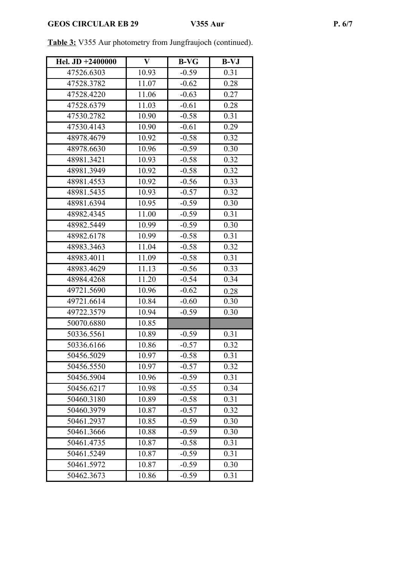| Hel. JD +2400000 | $\mathbf{V}$ | <b>B-VG</b> | $B-VJ$ |
|------------------|--------------|-------------|--------|
| 47526.6303       | 10.93        | $-0.59$     | 0.31   |
| 47528.3782       | 11.07        | $-0.62$     | 0.28   |
| 47528.4220       | 11.06        | $-0.63$     | 0.27   |
| 47528.6379       | 11.03        | $-0.61$     | 0.28   |
| 47530.2782       | 10.90        | $-0.58$     | 0.31   |
| 47530.4143       | 10.90        | $-0.61$     | 0.29   |
| 48978.4679       | 10.92        | $-0.58$     | 0.32   |
| 48978.6630       | 10.96        | $-0.59$     | 0.30   |
| 48981.3421       | 10.93        | $-0.58$     | 0.32   |
| 48981.3949       | 10.92        | $-0.58$     | 0.32   |
| 48981.4553       | 10.92        | $-0.56$     | 0.33   |
| 48981.5435       | 10.93        | $-0.57$     | 0.32   |
| 48981.6394       | 10.95        | $-0.59$     | 0.30   |
| 48982.4345       | 11.00        | $-0.59$     | 0.31   |
| 48982.5449       | 10.99        | $-0.59$     | 0.30   |
| 48982.6178       | 10.99        | $-0.58$     | 0.31   |
| 48983.3463       | 11.04        | $-0.58$     | 0.32   |
| 48983.4011       | 11.09        | $-0.58$     | 0.31   |
| 48983.4629       | 11.13        | $-0.56$     | 0.33   |
| 48984.4268       | 11.20        | $-0.54$     | 0.34   |
| 49721.5690       | 10.96        | $-0.62$     | 0.28   |
| 49721.6614       | 10.84        | $-0.60$     | 0.30   |
| 49722.3579       | 10.94        | $-0.59$     | 0.30   |
| 50070.6880       | 10.85        |             |        |
| 50336.5561       | 10.89        | $-0.59$     | 0.31   |
| 50336.6166       | 10.86        | $-0.57$     | 0.32   |
| 50456.5029       | 10.97        | $-0.58$     | 0.31   |
| 50456.5550       | 10.97        | $-0.57$     | 0.32   |
| 50456.5904       | 10.96        | $-0.59$     | 0.31   |
| 50456.6217       | 10.98        | $-0.55$     | 0.34   |
| 50460.3180       | 10.89        | $-0.58$     | 0.31   |
| 50460.3979       | 10.87        | $-0.57$     | 0.32   |
| 50461.2937       | 10.85        | $-0.59$     | 0.30   |
| 50461.3666       | 10.88        | $-0.59$     | 0.30   |
| 50461.4735       | 10.87        | $-0.58$     | 0.31   |
| 50461.5249       | 10.87        | $-0.59$     | 0.31   |
| 50461.5972       | 10.87        | $-0.59$     | 0.30   |
| 50462.3673       | 10.86        | $-0.59$     | 0.31   |

**Table 3:** V355 Aur photometry from Jungfraujoch (continued).